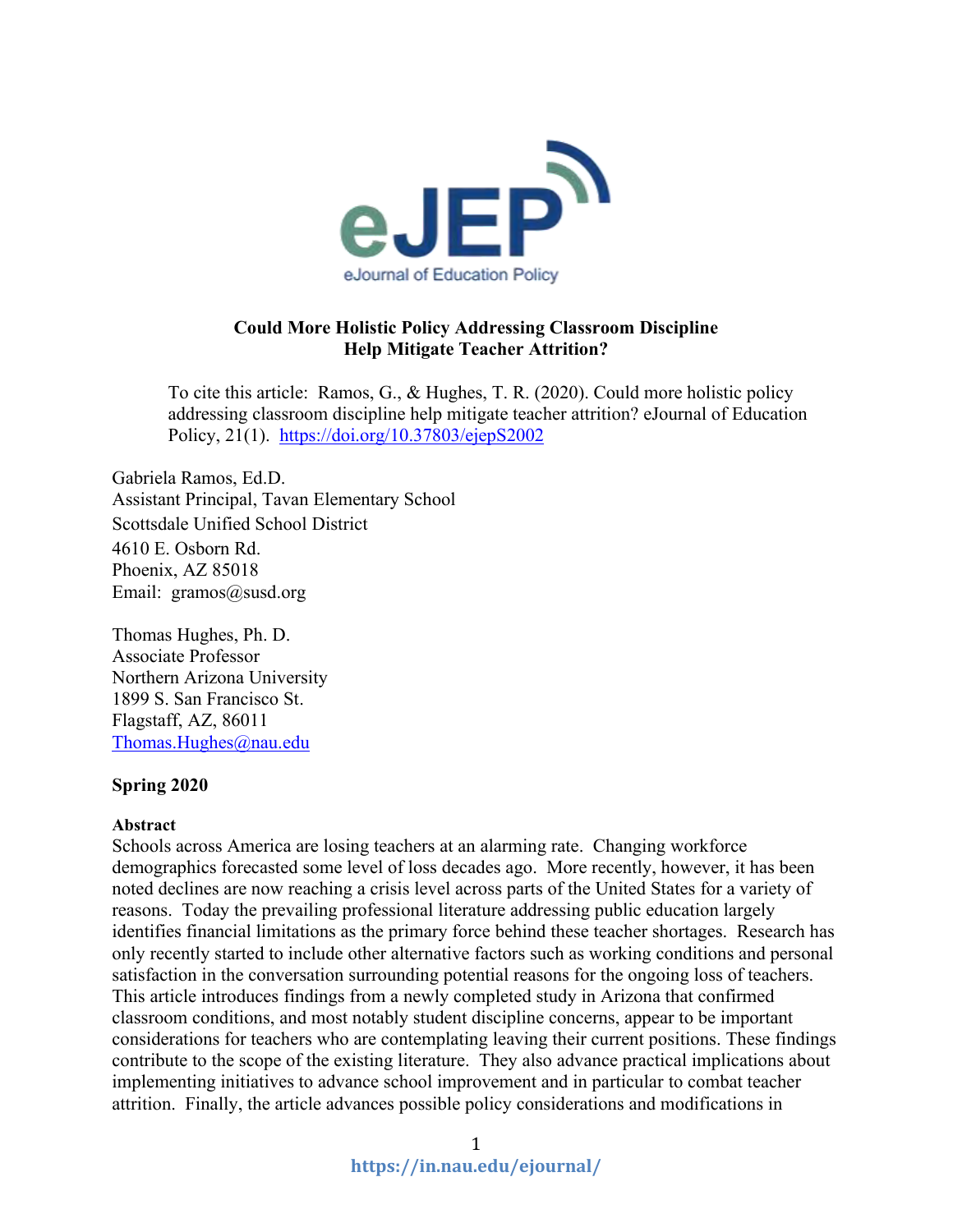

# **Could More Holistic Policy Addressing Classroom Discipline Help Mitigate Teacher Attrition?**

To cite this article: Ramos, G., & Hughes, T. R. (2020). Could more holistic policy addressing classroom discipline help mitigate teacher attrition? eJournal of Education Policy, 21(1). <https://doi.org/10.37803/ejepS2002>

Gabriela Ramos, Ed.D. Assistant Principal, Tavan Elementary School Scottsdale Unified School District 4610 E. Osborn Rd. Phoenix, AZ 85018 Email: gramos@susd.org

Thomas Hughes, Ph. D. Associate Professor Northern Arizona University 1899 S. San Francisco St. Flagstaff, AZ, 86011 [Thomas.Hughes@nau.edu](mailto:Thomas.Hughes@nau.edu)

### **Spring 2020**

### **Abstract**

Schools across America are losing teachers at an alarming rate. Changing workforce demographics forecasted some level of loss decades ago. More recently, however, it has been noted declines are now reaching a crisis level across parts of the United States for a variety of reasons. Today the prevailing professional literature addressing public education largely identifies financial limitations as the primary force behind these teacher shortages. Research has only recently started to include other alternative factors such as working conditions and personal satisfaction in the conversation surrounding potential reasons for the ongoing loss of teachers. This article introduces findings from a newly completed study in Arizona that confirmed classroom conditions, and most notably student discipline concerns, appear to be important considerations for teachers who are contemplating leaving their current positions. These findings contribute to the scope of the existing literature. They also advance practical implications about implementing initiatives to advance school improvement and in particular to combat teacher attrition. Finally, the article advances possible policy considerations and modifications in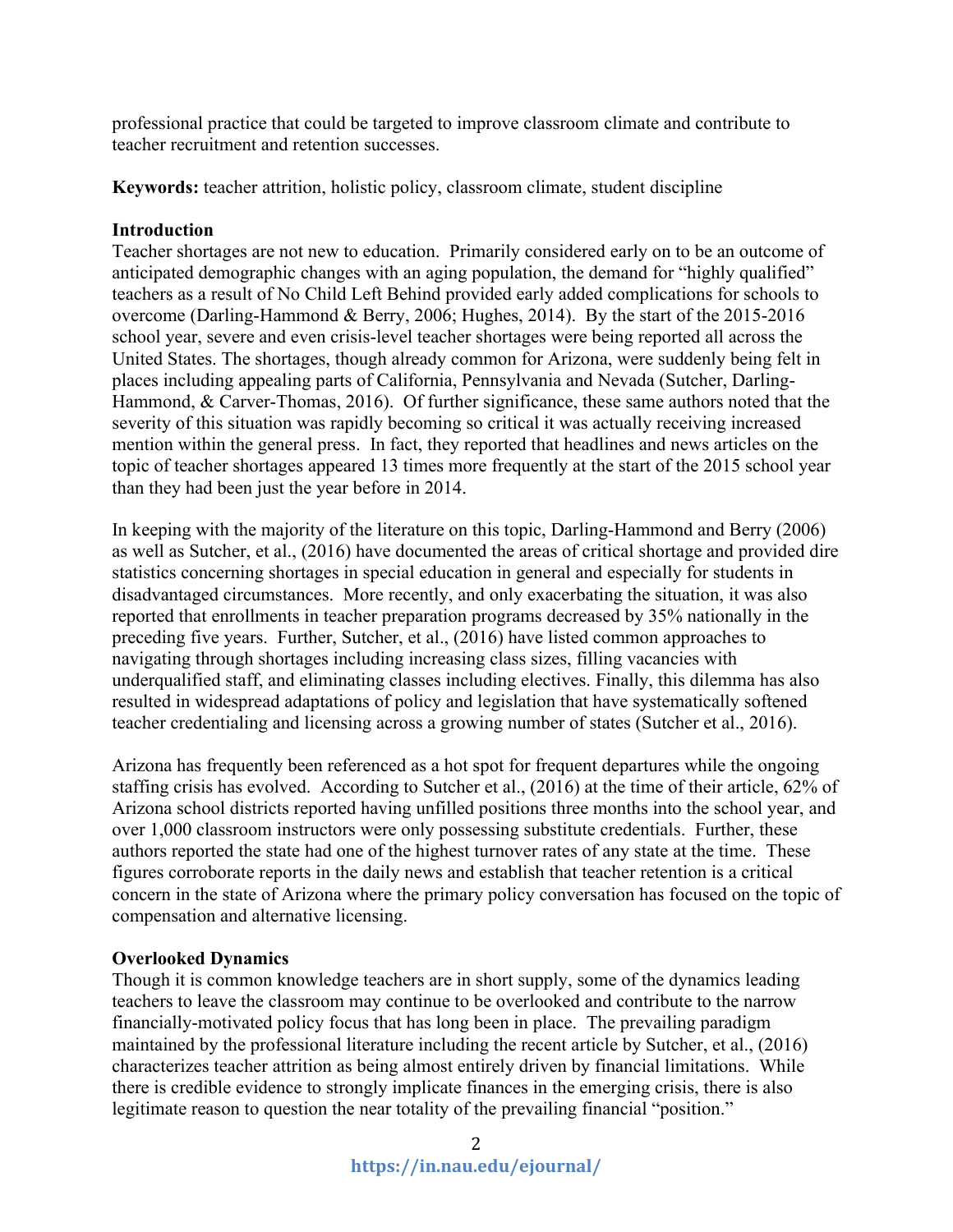professional practice that could be targeted to improve classroom climate and contribute to teacher recruitment and retention successes.

**Keywords:** teacher attrition, holistic policy, classroom climate, student discipline

## **Introduction**

Teacher shortages are not new to education. Primarily considered early on to be an outcome of anticipated demographic changes with an aging population, the demand for "highly qualified" teachers as a result of No Child Left Behind provided early added complications for schools to overcome (Darling-Hammond & Berry, 2006; Hughes, 2014). By the start of the 2015-2016 school year, severe and even crisis-level teacher shortages were being reported all across the United States. The shortages, though already common for Arizona, were suddenly being felt in places including appealing parts of California, Pennsylvania and Nevada (Sutcher, Darling-Hammond, & Carver-Thomas, 2016). Of further significance, these same authors noted that the severity of this situation was rapidly becoming so critical it was actually receiving increased mention within the general press. In fact, they reported that headlines and news articles on the topic of teacher shortages appeared 13 times more frequently at the start of the 2015 school year than they had been just the year before in 2014.

In keeping with the majority of the literature on this topic, Darling-Hammond and Berry (2006) as well as Sutcher, et al., (2016) have documented the areas of critical shortage and provided dire statistics concerning shortages in special education in general and especially for students in disadvantaged circumstances. More recently, and only exacerbating the situation, it was also reported that enrollments in teacher preparation programs decreased by 35% nationally in the preceding five years. Further, Sutcher, et al., (2016) have listed common approaches to navigating through shortages including increasing class sizes, filling vacancies with underqualified staff, and eliminating classes including electives. Finally, this dilemma has also resulted in widespread adaptations of policy and legislation that have systematically softened teacher credentialing and licensing across a growing number of states (Sutcher et al., 2016).

Arizona has frequently been referenced as a hot spot for frequent departures while the ongoing staffing crisis has evolved. According to Sutcher et al., (2016) at the time of their article, 62% of Arizona school districts reported having unfilled positions three months into the school year, and over 1,000 classroom instructors were only possessing substitute credentials. Further, these authors reported the state had one of the highest turnover rates of any state at the time. These figures corroborate reports in the daily news and establish that teacher retention is a critical concern in the state of Arizona where the primary policy conversation has focused on the topic of compensation and alternative licensing.

# **Overlooked Dynamics**

Though it is common knowledge teachers are in short supply, some of the dynamics leading teachers to leave the classroom may continue to be overlooked and contribute to the narrow financially-motivated policy focus that has long been in place. The prevailing paradigm maintained by the professional literature including the recent article by Sutcher, et al., (2016) characterizes teacher attrition as being almost entirely driven by financial limitations. While there is credible evidence to strongly implicate finances in the emerging crisis, there is also legitimate reason to question the near totality of the prevailing financial "position."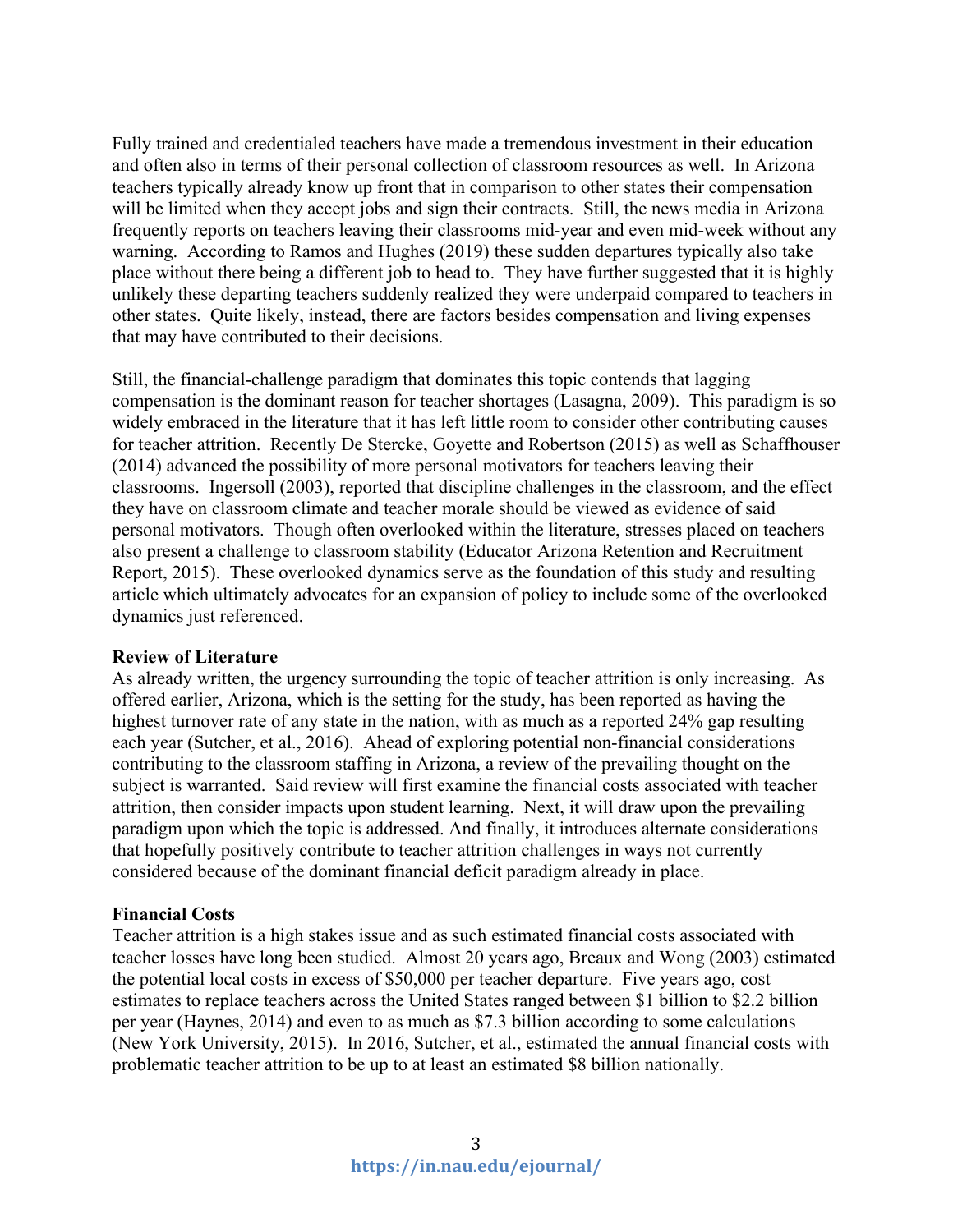Fully trained and credentialed teachers have made a tremendous investment in their education and often also in terms of their personal collection of classroom resources as well. In Arizona teachers typically already know up front that in comparison to other states their compensation will be limited when they accept jobs and sign their contracts. Still, the news media in Arizona frequently reports on teachers leaving their classrooms mid-year and even mid-week without any warning. According to Ramos and Hughes (2019) these sudden departures typically also take place without there being a different job to head to. They have further suggested that it is highly unlikely these departing teachers suddenly realized they were underpaid compared to teachers in other states. Quite likely, instead, there are factors besides compensation and living expenses that may have contributed to their decisions.

Still, the financial-challenge paradigm that dominates this topic contends that lagging compensation is the dominant reason for teacher shortages (Lasagna, 2009). This paradigm is so widely embraced in the literature that it has left little room to consider other contributing causes for teacher attrition. Recently De Stercke, Goyette and Robertson (2015) as well as Schaffhouser (2014) advanced the possibility of more personal motivators for teachers leaving their classrooms. Ingersoll (2003), reported that discipline challenges in the classroom, and the effect they have on classroom climate and teacher morale should be viewed as evidence of said personal motivators. Though often overlooked within the literature, stresses placed on teachers also present a challenge to classroom stability (Educator Arizona Retention and Recruitment Report, 2015). These overlooked dynamics serve as the foundation of this study and resulting article which ultimately advocates for an expansion of policy to include some of the overlooked dynamics just referenced.

### **Review of Literature**

As already written, the urgency surrounding the topic of teacher attrition is only increasing. As offered earlier, Arizona, which is the setting for the study, has been reported as having the highest turnover rate of any state in the nation, with as much as a reported 24% gap resulting each year (Sutcher, et al., 2016). Ahead of exploring potential non-financial considerations contributing to the classroom staffing in Arizona, a review of the prevailing thought on the subject is warranted. Said review will first examine the financial costs associated with teacher attrition, then consider impacts upon student learning. Next, it will draw upon the prevailing paradigm upon which the topic is addressed. And finally, it introduces alternate considerations that hopefully positively contribute to teacher attrition challenges in ways not currently considered because of the dominant financial deficit paradigm already in place.

### **Financial Costs**

Teacher attrition is a high stakes issue and as such estimated financial costs associated with teacher losses have long been studied. Almost 20 years ago, Breaux and Wong (2003) estimated the potential local costs in excess of \$50,000 per teacher departure. Five years ago, cost estimates to replace teachers across the United States ranged between \$1 billion to \$2.2 billion per year (Haynes, 2014) and even to as much as \$7.3 billion according to some calculations (New York University, 2015). In 2016, Sutcher, et al., estimated the annual financial costs with problematic teacher attrition to be up to at least an estimated \$8 billion nationally.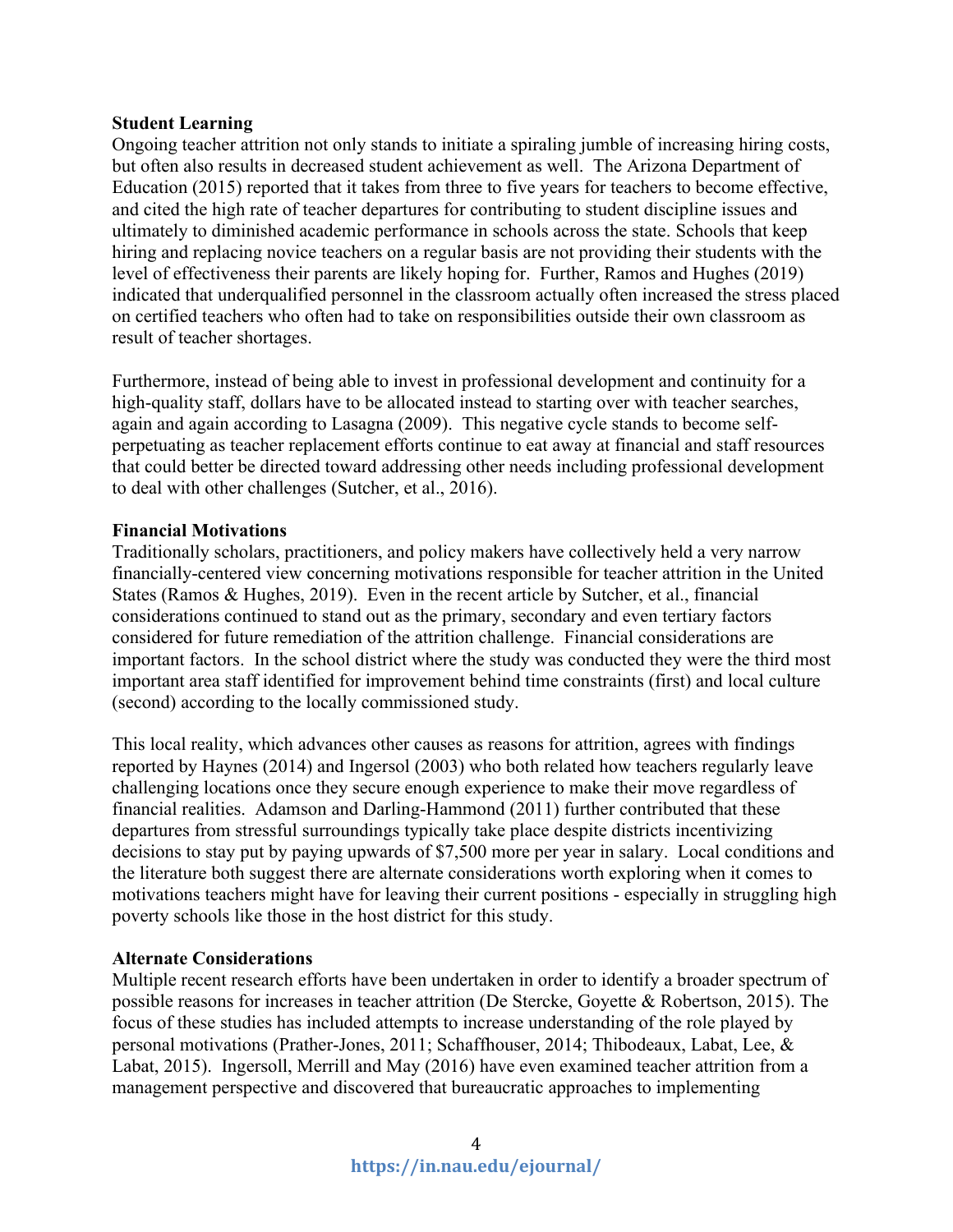## **Student Learning**

Ongoing teacher attrition not only stands to initiate a spiraling jumble of increasing hiring costs, but often also results in decreased student achievement as well. The Arizona Department of Education (2015) reported that it takes from three to five years for teachers to become effective, and cited the high rate of teacher departures for contributing to student discipline issues and ultimately to diminished academic performance in schools across the state. Schools that keep hiring and replacing novice teachers on a regular basis are not providing their students with the level of effectiveness their parents are likely hoping for. Further, Ramos and Hughes (2019) indicated that underqualified personnel in the classroom actually often increased the stress placed on certified teachers who often had to take on responsibilities outside their own classroom as result of teacher shortages.

Furthermore, instead of being able to invest in professional development and continuity for a high-quality staff, dollars have to be allocated instead to starting over with teacher searches, again and again according to Lasagna (2009). This negative cycle stands to become selfperpetuating as teacher replacement efforts continue to eat away at financial and staff resources that could better be directed toward addressing other needs including professional development to deal with other challenges (Sutcher, et al., 2016).

# **Financial Motivations**

Traditionally scholars, practitioners, and policy makers have collectively held a very narrow financially-centered view concerning motivations responsible for teacher attrition in the United States (Ramos & Hughes, 2019). Even in the recent article by Sutcher, et al., financial considerations continued to stand out as the primary, secondary and even tertiary factors considered for future remediation of the attrition challenge. Financial considerations are important factors. In the school district where the study was conducted they were the third most important area staff identified for improvement behind time constraints (first) and local culture (second) according to the locally commissioned study.

This local reality, which advances other causes as reasons for attrition, agrees with findings reported by Haynes (2014) and Ingersol (2003) who both related how teachers regularly leave challenging locations once they secure enough experience to make their move regardless of financial realities. Adamson and Darling-Hammond (2011) further contributed that these departures from stressful surroundings typically take place despite districts incentivizing decisions to stay put by paying upwards of \$7,500 more per year in salary. Local conditions and the literature both suggest there are alternate considerations worth exploring when it comes to motivations teachers might have for leaving their current positions - especially in struggling high poverty schools like those in the host district for this study.

# **Alternate Considerations**

Multiple recent research efforts have been undertaken in order to identify a broader spectrum of possible reasons for increases in teacher attrition (De Stercke, Goyette & Robertson, 2015). The focus of these studies has included attempts to increase understanding of the role played by personal motivations (Prather-Jones, 2011; Schaffhouser, 2014; Thibodeaux, Labat, Lee, & Labat, 2015). Ingersoll, Merrill and May (2016) have even examined teacher attrition from a management perspective and discovered that bureaucratic approaches to implementing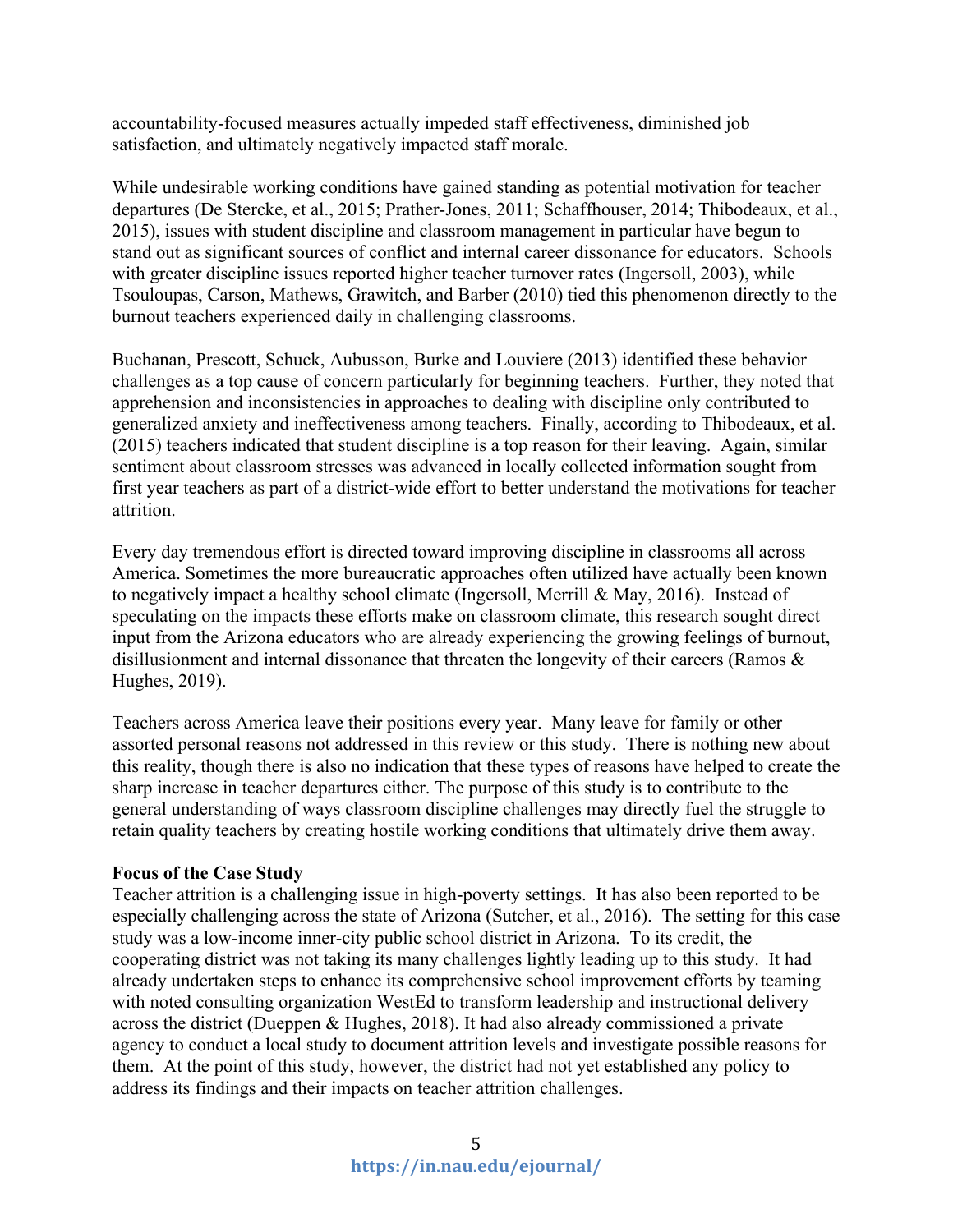accountability-focused measures actually impeded staff effectiveness, diminished job satisfaction, and ultimately negatively impacted staff morale.

While undesirable working conditions have gained standing as potential motivation for teacher departures (De Stercke, et al., 2015; Prather-Jones, 2011; Schaffhouser, 2014; Thibodeaux, et al., 2015), issues with student discipline and classroom management in particular have begun to stand out as significant sources of conflict and internal career dissonance for educators. Schools with greater discipline issues reported higher teacher turnover rates (Ingersoll, 2003), while Tsouloupas, Carson, Mathews, Grawitch, and Barber (2010) tied this phenomenon directly to the burnout teachers experienced daily in challenging classrooms.

Buchanan, Prescott, Schuck, Aubusson, Burke and Louviere (2013) identified these behavior challenges as a top cause of concern particularly for beginning teachers. Further, they noted that apprehension and inconsistencies in approaches to dealing with discipline only contributed to generalized anxiety and ineffectiveness among teachers. Finally, according to Thibodeaux, et al. (2015) teachers indicated that student discipline is a top reason for their leaving. Again, similar sentiment about classroom stresses was advanced in locally collected information sought from first year teachers as part of a district-wide effort to better understand the motivations for teacher attrition.

Every day tremendous effort is directed toward improving discipline in classrooms all across America. Sometimes the more bureaucratic approaches often utilized have actually been known to negatively impact a healthy school climate (Ingersoll, Merrill & May, 2016). Instead of speculating on the impacts these efforts make on classroom climate, this research sought direct input from the Arizona educators who are already experiencing the growing feelings of burnout, disillusionment and internal dissonance that threaten the longevity of their careers (Ramos & Hughes, 2019).

Teachers across America leave their positions every year. Many leave for family or other assorted personal reasons not addressed in this review or this study. There is nothing new about this reality, though there is also no indication that these types of reasons have helped to create the sharp increase in teacher departures either. The purpose of this study is to contribute to the general understanding of ways classroom discipline challenges may directly fuel the struggle to retain quality teachers by creating hostile working conditions that ultimately drive them away.

# **Focus of the Case Study**

Teacher attrition is a challenging issue in high-poverty settings. It has also been reported to be especially challenging across the state of Arizona (Sutcher, et al., 2016). The setting for this case study was a low-income inner-city public school district in Arizona. To its credit, the cooperating district was not taking its many challenges lightly leading up to this study. It had already undertaken steps to enhance its comprehensive school improvement efforts by teaming with noted consulting organization WestEd to transform leadership and instructional delivery across the district (Dueppen & Hughes, 2018). It had also already commissioned a private agency to conduct a local study to document attrition levels and investigate possible reasons for them. At the point of this study, however, the district had not yet established any policy to address its findings and their impacts on teacher attrition challenges.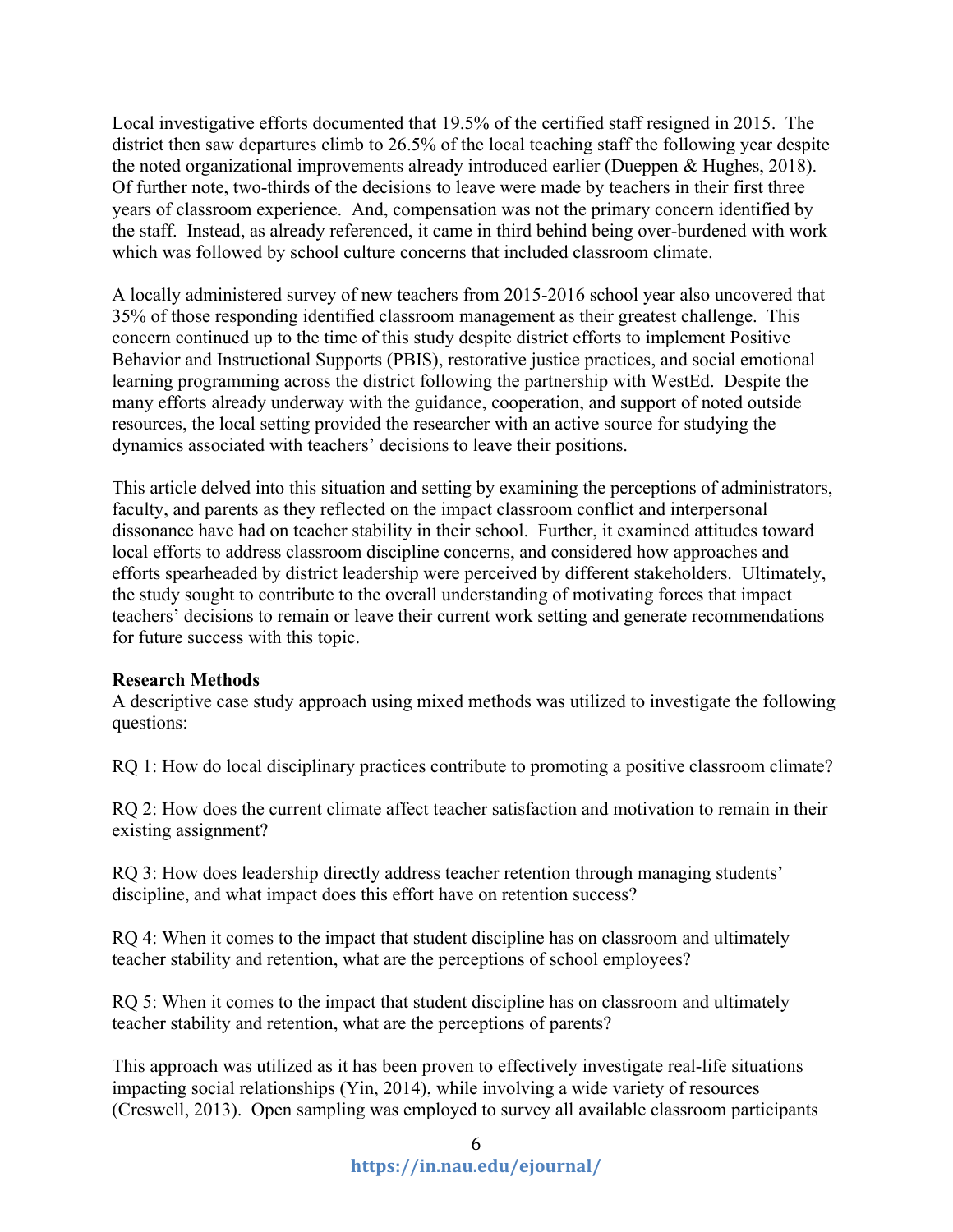Local investigative efforts documented that 19.5% of the certified staff resigned in 2015. The district then saw departures climb to 26.5% of the local teaching staff the following year despite the noted organizational improvements already introduced earlier (Dueppen & Hughes, 2018). Of further note, two-thirds of the decisions to leave were made by teachers in their first three years of classroom experience. And, compensation was not the primary concern identified by the staff. Instead, as already referenced, it came in third behind being over-burdened with work which was followed by school culture concerns that included classroom climate.

A locally administered survey of new teachers from 2015-2016 school year also uncovered that 35% of those responding identified classroom management as their greatest challenge. This concern continued up to the time of this study despite district efforts to implement Positive Behavior and Instructional Supports (PBIS), restorative justice practices, and social emotional learning programming across the district following the partnership with WestEd. Despite the many efforts already underway with the guidance, cooperation, and support of noted outside resources, the local setting provided the researcher with an active source for studying the dynamics associated with teachers' decisions to leave their positions.

This article delved into this situation and setting by examining the perceptions of administrators, faculty, and parents as they reflected on the impact classroom conflict and interpersonal dissonance have had on teacher stability in their school. Further, it examined attitudes toward local efforts to address classroom discipline concerns, and considered how approaches and efforts spearheaded by district leadership were perceived by different stakeholders. Ultimately, the study sought to contribute to the overall understanding of motivating forces that impact teachers' decisions to remain or leave their current work setting and generate recommendations for future success with this topic.

# **Research Methods**

A descriptive case study approach using mixed methods was utilized to investigate the following questions:

RQ 1: How do local disciplinary practices contribute to promoting a positive classroom climate?

RQ 2: How does the current climate affect teacher satisfaction and motivation to remain in their existing assignment?

RQ 3: How does leadership directly address teacher retention through managing students' discipline, and what impact does this effort have on retention success?

RQ 4: When it comes to the impact that student discipline has on classroom and ultimately teacher stability and retention, what are the perceptions of school employees?

RQ 5: When it comes to the impact that student discipline has on classroom and ultimately teacher stability and retention, what are the perceptions of parents?

This approach was utilized as it has been proven to effectively investigate real-life situations impacting social relationships (Yin, 2014), while involving a wide variety of resources (Creswell, 2013). Open sampling was employed to survey all available classroom participants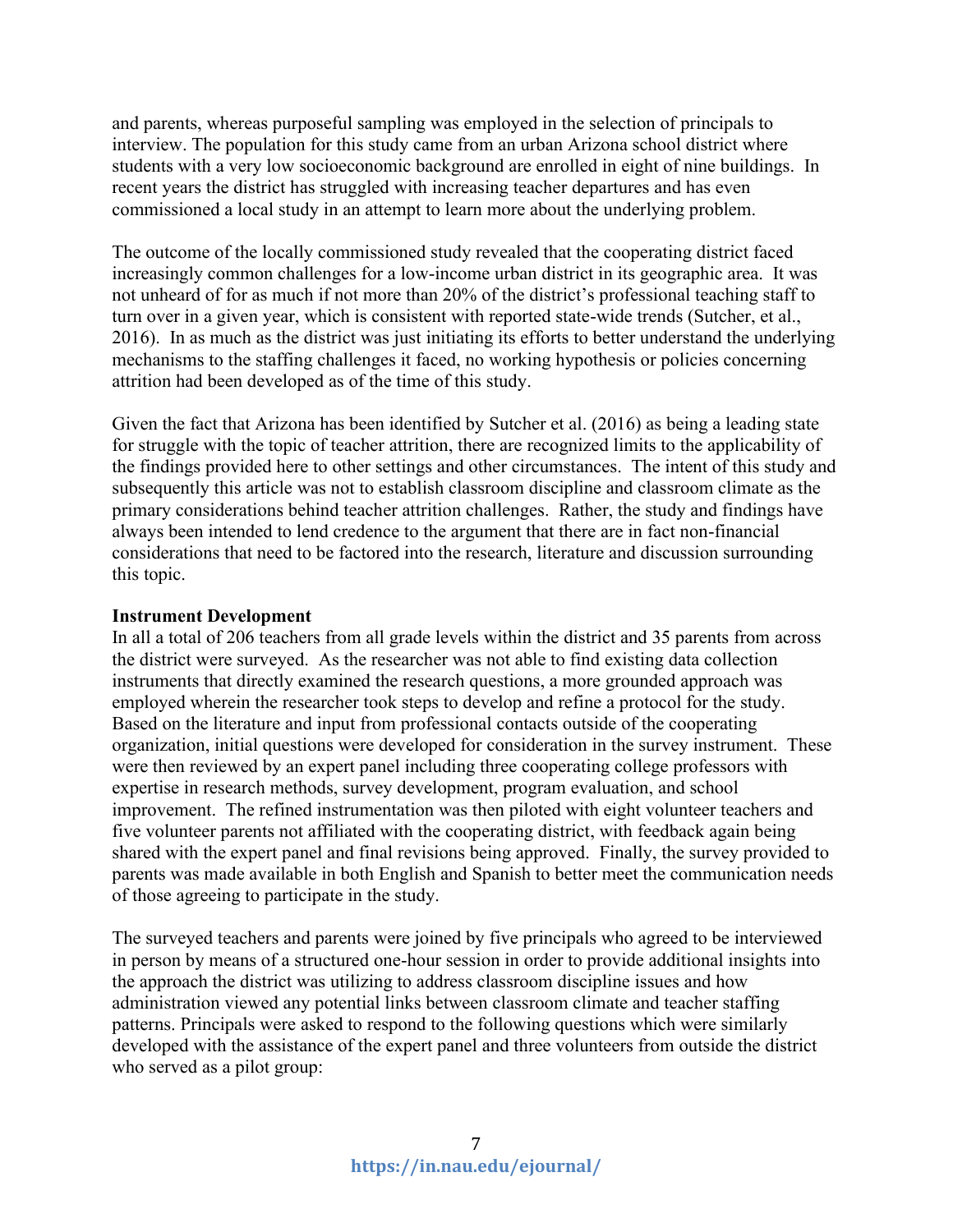and parents, whereas purposeful sampling was employed in the selection of principals to interview. The population for this study came from an urban Arizona school district where students with a very low socioeconomic background are enrolled in eight of nine buildings. In recent years the district has struggled with increasing teacher departures and has even commissioned a local study in an attempt to learn more about the underlying problem.

The outcome of the locally commissioned study revealed that the cooperating district faced increasingly common challenges for a low-income urban district in its geographic area. It was not unheard of for as much if not more than 20% of the district's professional teaching staff to turn over in a given year, which is consistent with reported state-wide trends (Sutcher, et al., 2016). In as much as the district was just initiating its efforts to better understand the underlying mechanisms to the staffing challenges it faced, no working hypothesis or policies concerning attrition had been developed as of the time of this study.

Given the fact that Arizona has been identified by Sutcher et al. (2016) as being a leading state for struggle with the topic of teacher attrition, there are recognized limits to the applicability of the findings provided here to other settings and other circumstances. The intent of this study and subsequently this article was not to establish classroom discipline and classroom climate as the primary considerations behind teacher attrition challenges. Rather, the study and findings have always been intended to lend credence to the argument that there are in fact non-financial considerations that need to be factored into the research, literature and discussion surrounding this topic.

#### **Instrument Development**

In all a total of 206 teachers from all grade levels within the district and 35 parents from across the district were surveyed. As the researcher was not able to find existing data collection instruments that directly examined the research questions, a more grounded approach was employed wherein the researcher took steps to develop and refine a protocol for the study. Based on the literature and input from professional contacts outside of the cooperating organization, initial questions were developed for consideration in the survey instrument. These were then reviewed by an expert panel including three cooperating college professors with expertise in research methods, survey development, program evaluation, and school improvement. The refined instrumentation was then piloted with eight volunteer teachers and five volunteer parents not affiliated with the cooperating district, with feedback again being shared with the expert panel and final revisions being approved. Finally, the survey provided to parents was made available in both English and Spanish to better meet the communication needs of those agreeing to participate in the study.

The surveyed teachers and parents were joined by five principals who agreed to be interviewed in person by means of a structured one-hour session in order to provide additional insights into the approach the district was utilizing to address classroom discipline issues and how administration viewed any potential links between classroom climate and teacher staffing patterns. Principals were asked to respond to the following questions which were similarly developed with the assistance of the expert panel and three volunteers from outside the district who served as a pilot group: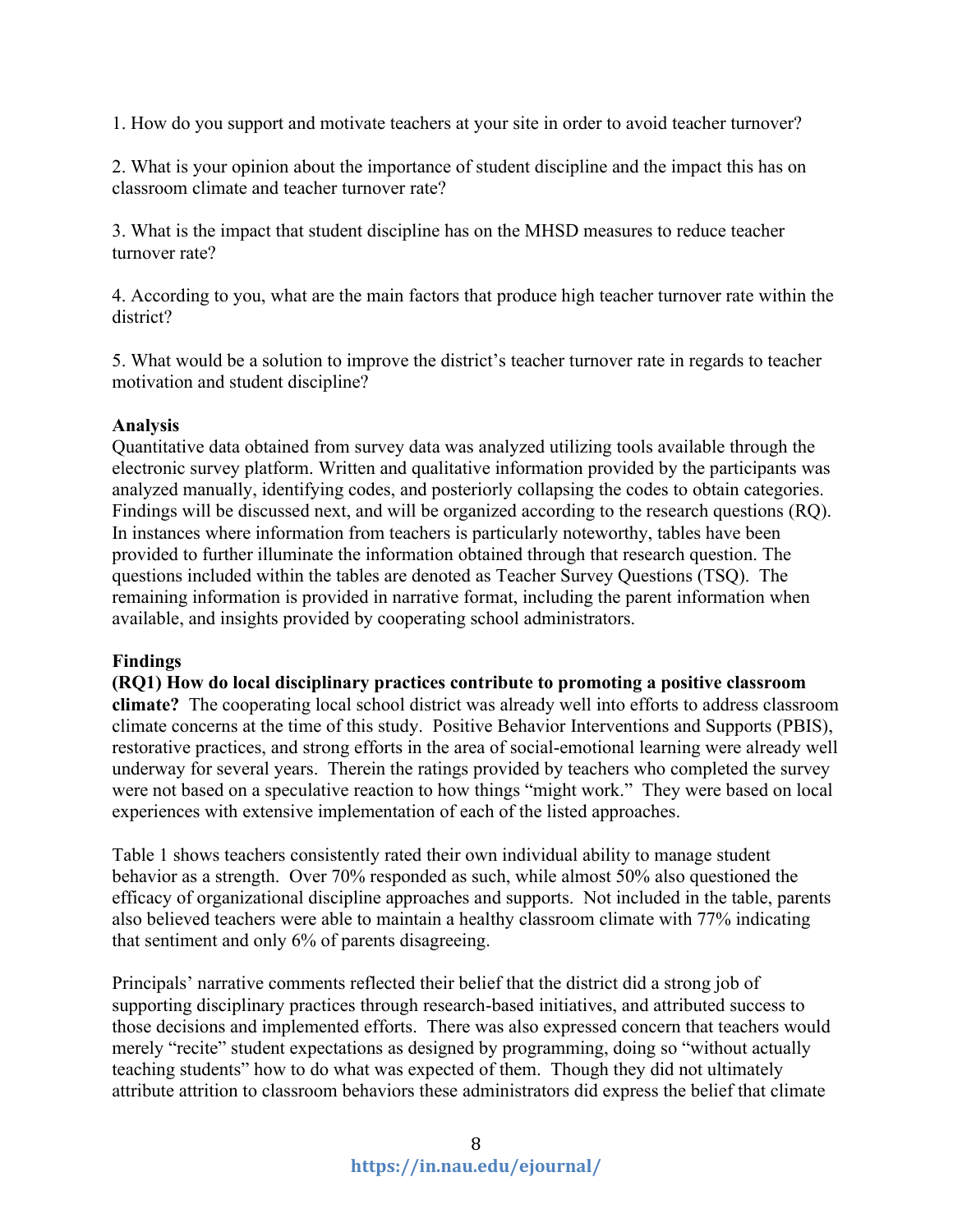1. How do you support and motivate teachers at your site in order to avoid teacher turnover?

2. What is your opinion about the importance of student discipline and the impact this has on classroom climate and teacher turnover rate?

3. What is the impact that student discipline has on the MHSD measures to reduce teacher turnover rate?

4. According to you, what are the main factors that produce high teacher turnover rate within the district?

5. What would be a solution to improve the district's teacher turnover rate in regards to teacher motivation and student discipline?

## **Analysis**

Quantitative data obtained from survey data was analyzed utilizing tools available through the electronic survey platform. Written and qualitative information provided by the participants was analyzed manually, identifying codes, and posteriorly collapsing the codes to obtain categories. Findings will be discussed next, and will be organized according to the research questions (RQ). In instances where information from teachers is particularly noteworthy, tables have been provided to further illuminate the information obtained through that research question. The questions included within the tables are denoted as Teacher Survey Questions (TSQ). The remaining information is provided in narrative format, including the parent information when available, and insights provided by cooperating school administrators.

# **Findings**

**(RQ1) How do local disciplinary practices contribute to promoting a positive classroom climate?** The cooperating local school district was already well into efforts to address classroom climate concerns at the time of this study. Positive Behavior Interventions and Supports (PBIS), restorative practices, and strong efforts in the area of social-emotional learning were already well underway for several years. Therein the ratings provided by teachers who completed the survey were not based on a speculative reaction to how things "might work." They were based on local experiences with extensive implementation of each of the listed approaches.

Table 1 shows teachers consistently rated their own individual ability to manage student behavior as a strength. Over 70% responded as such, while almost 50% also questioned the efficacy of organizational discipline approaches and supports. Not included in the table, parents also believed teachers were able to maintain a healthy classroom climate with 77% indicating that sentiment and only 6% of parents disagreeing.

Principals' narrative comments reflected their belief that the district did a strong job of supporting disciplinary practices through research-based initiatives, and attributed success to those decisions and implemented efforts. There was also expressed concern that teachers would merely "recite" student expectations as designed by programming, doing so "without actually teaching students" how to do what was expected of them. Though they did not ultimately attribute attrition to classroom behaviors these administrators did express the belief that climate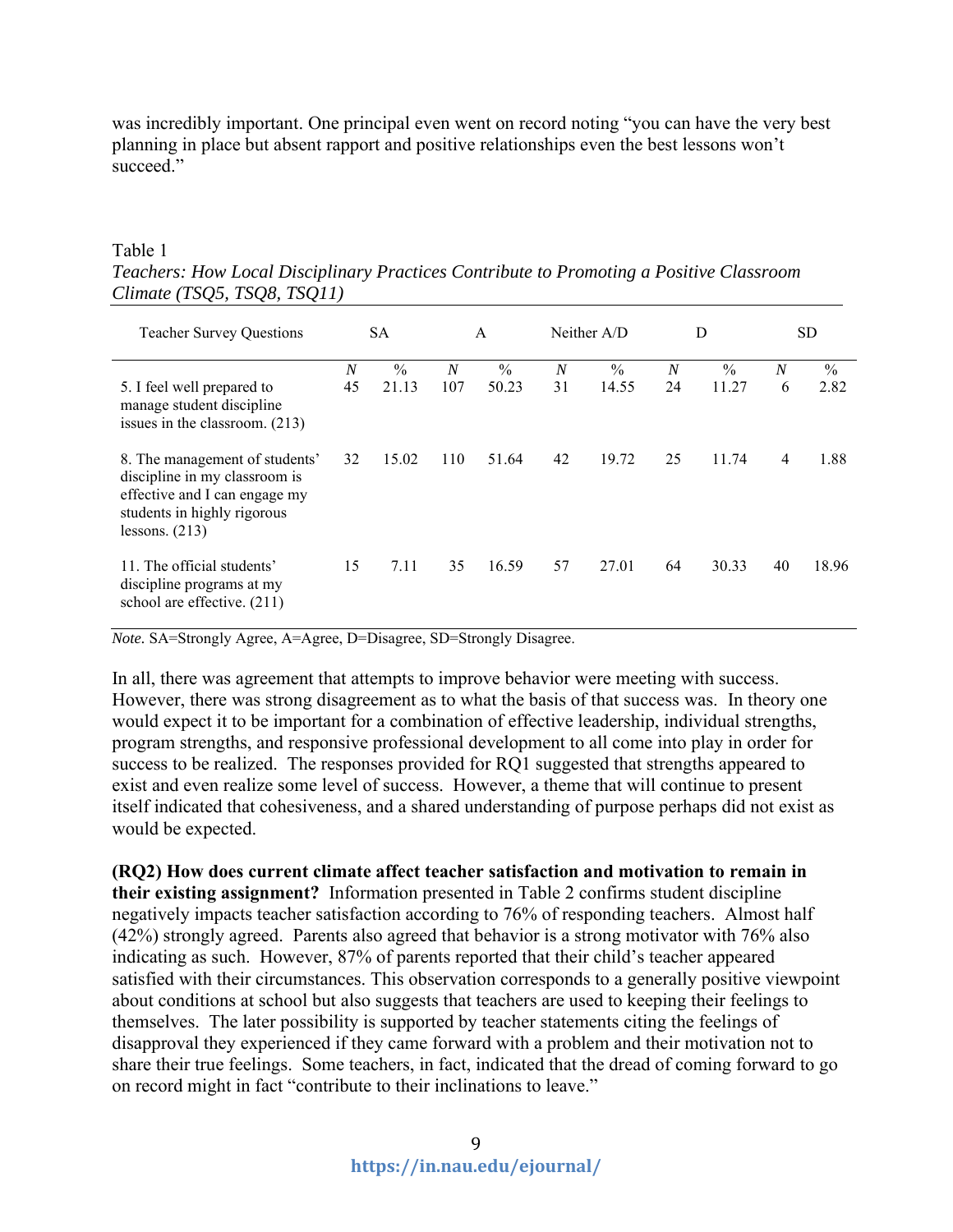was incredibly important. One principal even went on record noting "you can have the very best planning in place but absent rapport and positive relationships even the best lessons won't succeed."

#### Table 1

*Teachers: How Local Disciplinary Practices Contribute to Promoting a Positive Classroom Climate (TSQ5, TSQ8, TSQ11)*

| <b>Teacher Survey Questions</b>                                                                                                                     | <b>SA</b>              |                        | A        |                        | Neither A/D            |                        | D                    |                        | SD.                   |              |
|-----------------------------------------------------------------------------------------------------------------------------------------------------|------------------------|------------------------|----------|------------------------|------------------------|------------------------|----------------------|------------------------|-----------------------|--------------|
| 5. I feel well prepared to<br>manage student discipline<br>issues in the classroom. (213)                                                           | $\boldsymbol{N}$<br>45 | $\frac{0}{0}$<br>21.13 | N<br>107 | $\frac{0}{0}$<br>50.23 | $\boldsymbol{N}$<br>31 | $\frac{0}{0}$<br>14.55 | $\overline{N}$<br>24 | $\frac{0}{0}$<br>11.27 | $\boldsymbol{N}$<br>6 | $\%$<br>2.82 |
| 8. The management of students'<br>discipline in my classroom is<br>effective and I can engage my<br>students in highly rigorous<br>lessons. $(213)$ | 32                     | 15.02                  | 110      | 51.64                  | 42                     | 19.72                  | 25                   | 11.74                  | 4                     | 1.88         |
| 11. The official students'<br>discipline programs at my<br>school are effective. (211)                                                              | 15                     | 7.11                   | 35       | 16.59                  | 57                     | 27.01                  | 64                   | 30.33                  | 40                    | 18.96        |

*Note.* SA=Strongly Agree, A=Agree, D=Disagree, SD=Strongly Disagree.

In all, there was agreement that attempts to improve behavior were meeting with success. However, there was strong disagreement as to what the basis of that success was. In theory one would expect it to be important for a combination of effective leadership, individual strengths, program strengths, and responsive professional development to all come into play in order for success to be realized. The responses provided for RQ1 suggested that strengths appeared to exist and even realize some level of success. However, a theme that will continue to present itself indicated that cohesiveness, and a shared understanding of purpose perhaps did not exist as would be expected.

**(RQ2) How does current climate affect teacher satisfaction and motivation to remain in their existing assignment?** Information presented in Table 2 confirms student discipline negatively impacts teacher satisfaction according to 76% of responding teachers. Almost half (42%) strongly agreed. Parents also agreed that behavior is a strong motivator with 76% also indicating as such. However, 87% of parents reported that their child's teacher appeared satisfied with their circumstances. This observation corresponds to a generally positive viewpoint about conditions at school but also suggests that teachers are used to keeping their feelings to themselves. The later possibility is supported by teacher statements citing the feelings of disapproval they experienced if they came forward with a problem and their motivation not to share their true feelings. Some teachers, in fact, indicated that the dread of coming forward to go on record might in fact "contribute to their inclinations to leave."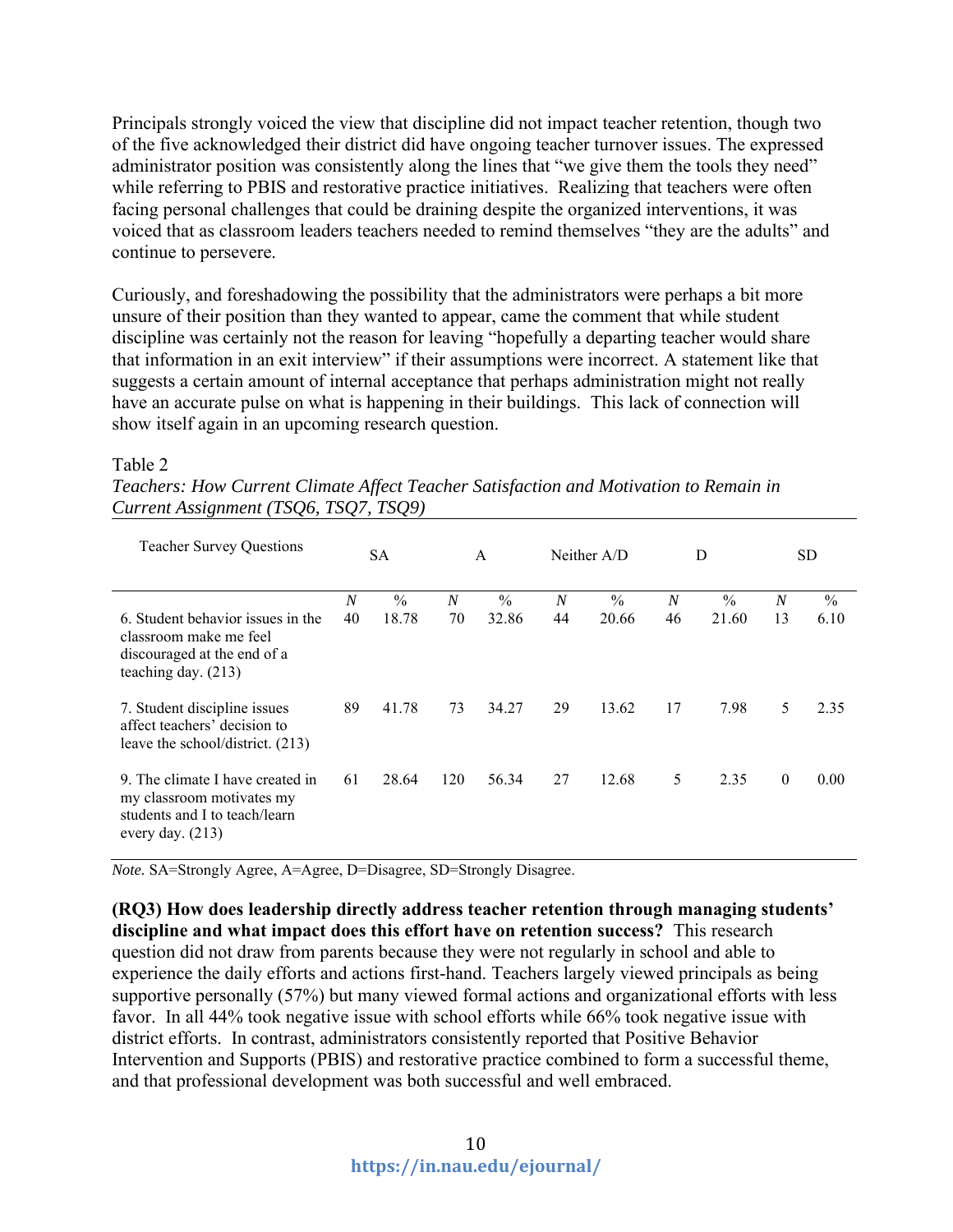Principals strongly voiced the view that discipline did not impact teacher retention, though two of the five acknowledged their district did have ongoing teacher turnover issues. The expressed administrator position was consistently along the lines that "we give them the tools they need" while referring to PBIS and restorative practice initiatives. Realizing that teachers were often facing personal challenges that could be draining despite the organized interventions, it was voiced that as classroom leaders teachers needed to remind themselves "they are the adults" and continue to persevere.

Curiously, and foreshadowing the possibility that the administrators were perhaps a bit more unsure of their position than they wanted to appear, came the comment that while student discipline was certainly not the reason for leaving "hopefully a departing teacher would share that information in an exit interview" if their assumptions were incorrect. A statement like that suggests a certain amount of internal acceptance that perhaps administration might not really have an accurate pulse on what is happening in their buildings. This lack of connection will show itself again in an upcoming research question.

| <b>Teacher Survey Questions</b>                                                                                      | <b>SA</b>              |                        | A                      |                        | Neither $A/D$          |               | D                      |                        | SD.                    |                       |
|----------------------------------------------------------------------------------------------------------------------|------------------------|------------------------|------------------------|------------------------|------------------------|---------------|------------------------|------------------------|------------------------|-----------------------|
| 6. Student behavior issues in the<br>classroom make me feel<br>discouraged at the end of a<br>teaching day. $(213)$  | $\boldsymbol{N}$<br>40 | $\frac{0}{0}$<br>18.78 | $\boldsymbol{N}$<br>70 | $\frac{0}{0}$<br>32.86 | $\boldsymbol{N}$<br>44 | $\%$<br>20.66 | $\boldsymbol{N}$<br>46 | $\frac{0}{0}$<br>21.60 | $\boldsymbol{N}$<br>13 | $\frac{0}{0}$<br>6.10 |
| 7. Student discipline issues<br>affect teachers' decision to<br>leave the school/district. (213)                     | 89                     | 41.78                  | 73                     | 34.27                  | 29                     | 13.62         | 17                     | 7.98                   | 5                      | 2.35                  |
| 9. The climate I have created in<br>my classroom motivates my<br>students and I to teach/learn<br>every day. $(213)$ | 61                     | 28.64                  | 120                    | 56.34                  | 27                     | 12.68         | 5                      | 2.35                   | $\theta$               | 0.00                  |

### Table 2

| Teachers: How Current Climate Affect Teacher Satisfaction and Motivation to Remain in |  |
|---------------------------------------------------------------------------------------|--|
| Current Assignment (TSQ6, TSQ7, TSQ9)                                                 |  |

*Note.* SA=Strongly Agree, A=Agree, D=Disagree, SD=Strongly Disagree.

**(RQ3) How does leadership directly address teacher retention through managing students' discipline and what impact does this effort have on retention success?** This research question did not draw from parents because they were not regularly in school and able to experience the daily efforts and actions first-hand. Teachers largely viewed principals as being supportive personally (57%) but many viewed formal actions and organizational efforts with less favor. In all 44% took negative issue with school efforts while 66% took negative issue with district efforts. In contrast, administrators consistently reported that Positive Behavior Intervention and Supports (PBIS) and restorative practice combined to form a successful theme, and that professional development was both successful and well embraced.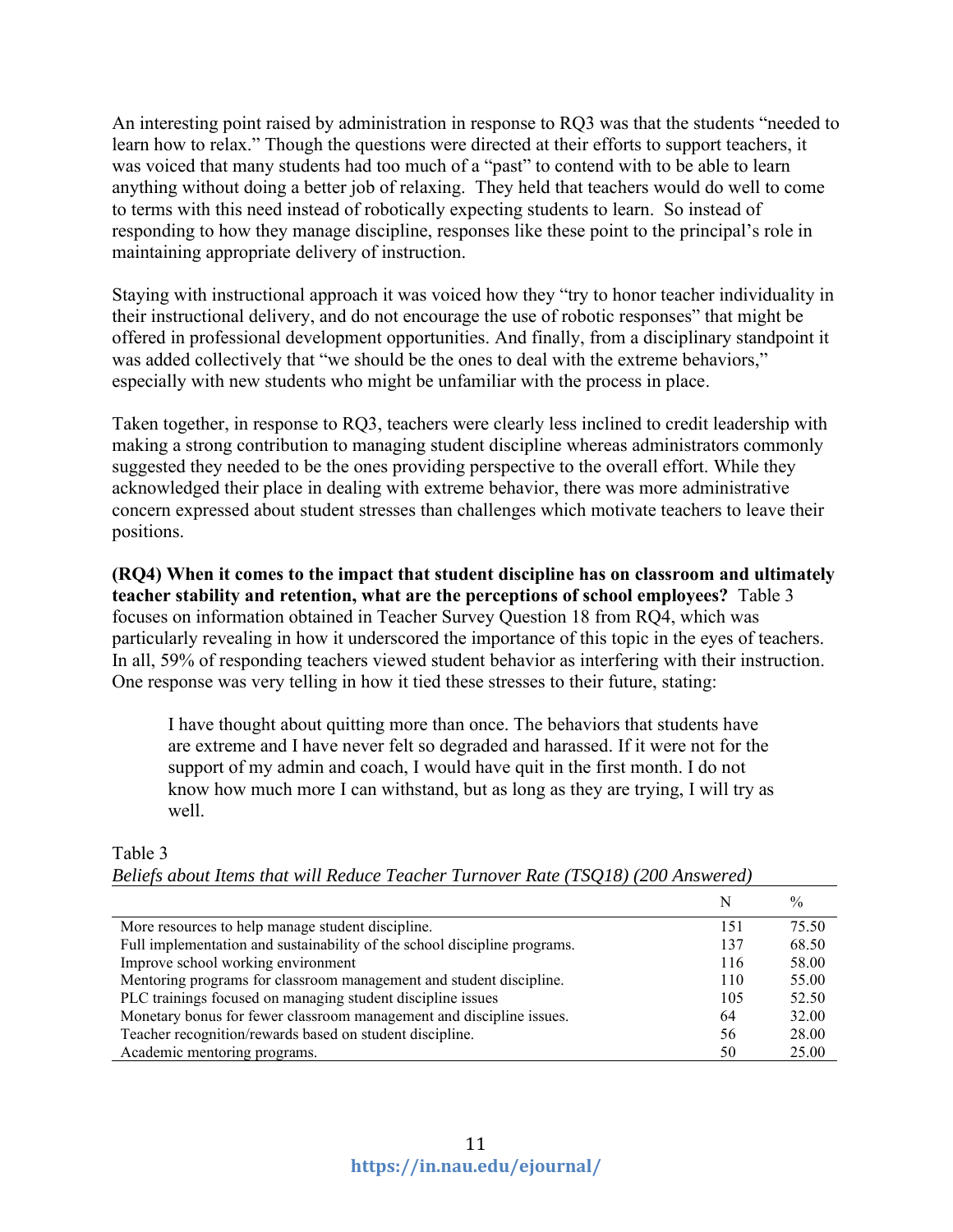An interesting point raised by administration in response to RQ3 was that the students "needed to learn how to relax." Though the questions were directed at their efforts to support teachers, it was voiced that many students had too much of a "past" to contend with to be able to learn anything without doing a better job of relaxing. They held that teachers would do well to come to terms with this need instead of robotically expecting students to learn. So instead of responding to how they manage discipline, responses like these point to the principal's role in maintaining appropriate delivery of instruction.

Staying with instructional approach it was voiced how they "try to honor teacher individuality in their instructional delivery, and do not encourage the use of robotic responses" that might be offered in professional development opportunities. And finally, from a disciplinary standpoint it was added collectively that "we should be the ones to deal with the extreme behaviors," especially with new students who might be unfamiliar with the process in place.

Taken together, in response to RQ3, teachers were clearly less inclined to credit leadership with making a strong contribution to managing student discipline whereas administrators commonly suggested they needed to be the ones providing perspective to the overall effort. While they acknowledged their place in dealing with extreme behavior, there was more administrative concern expressed about student stresses than challenges which motivate teachers to leave their positions.

**(RQ4) When it comes to the impact that student discipline has on classroom and ultimately teacher stability and retention, what are the perceptions of school employees?** Table 3 focuses on information obtained in Teacher Survey Question 18 from RQ4, which was particularly revealing in how it underscored the importance of this topic in the eyes of teachers. In all, 59% of responding teachers viewed student behavior as interfering with their instruction. One response was very telling in how it tied these stresses to their future, stating:

I have thought about quitting more than once. The behaviors that students have are extreme and I have never felt so degraded and harassed. If it were not for the support of my admin and coach, I would have quit in the first month. I do not know how much more I can withstand, but as long as they are trying, I will try as well.

|                                                                           |     | $\frac{0}{0}$ |
|---------------------------------------------------------------------------|-----|---------------|
| More resources to help manage student discipline.                         | 151 | 75.50         |
| Full implementation and sustainability of the school discipline programs. | 137 | 68.50         |
| Improve school working environment                                        | 116 | 58.00         |
| Mentoring programs for classroom management and student discipline.       | 110 | 55.00         |
| PLC trainings focused on managing student discipline issues               | 105 | 52.50         |
| Monetary bonus for fewer classroom management and discipline issues.      | 64  | 32.00         |
| Teacher recognition/rewards based on student discipline.                  | 56  | 28.00         |
| Academic mentoring programs.                                              | 50  | 25.00         |

#### Table 3

*Beliefs about Items that will Reduce Teacher Turnover Rate (TSQ18) (200 Answered)*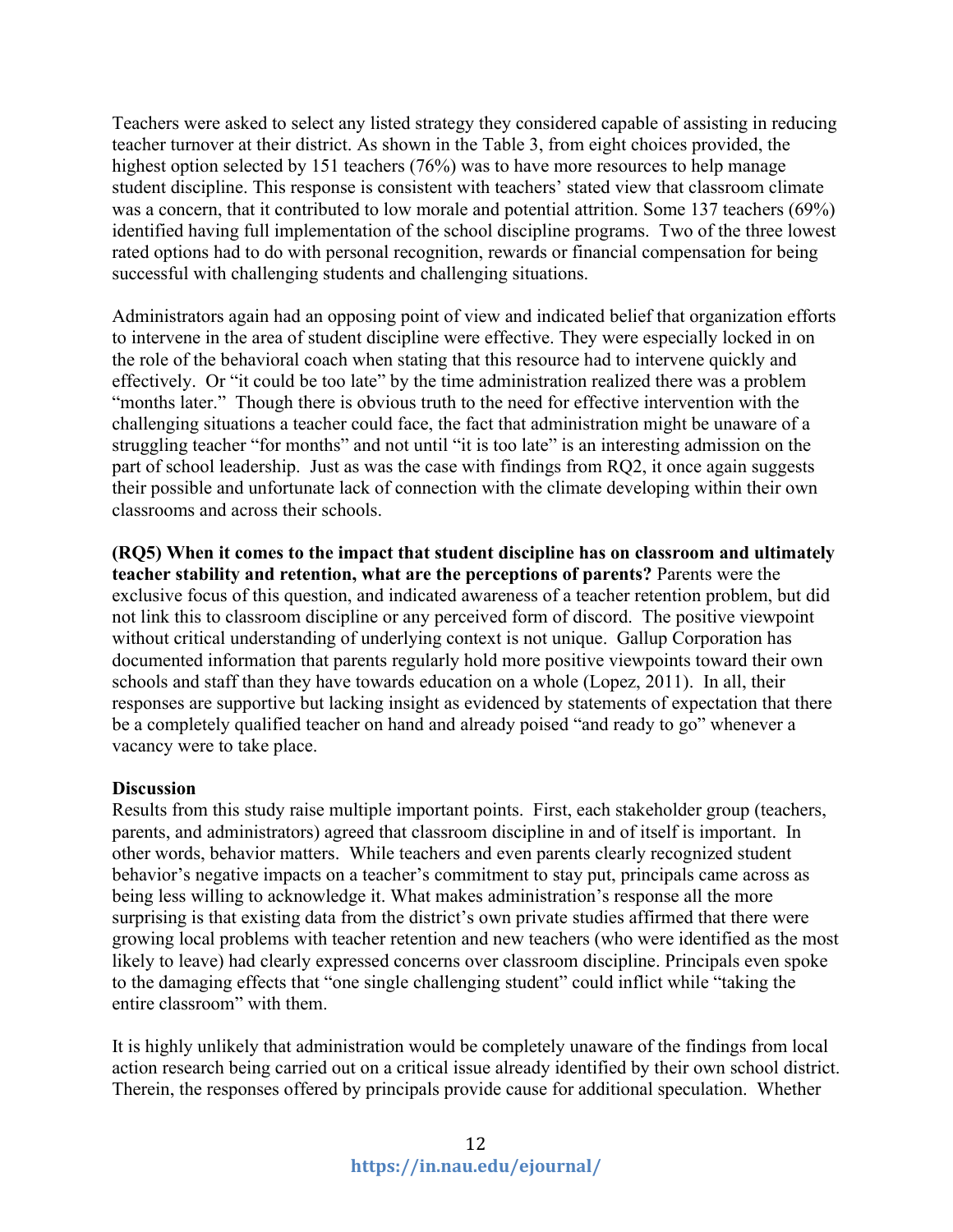Teachers were asked to select any listed strategy they considered capable of assisting in reducing teacher turnover at their district. As shown in the Table 3, from eight choices provided, the highest option selected by 151 teachers (76%) was to have more resources to help manage student discipline. This response is consistent with teachers' stated view that classroom climate was a concern, that it contributed to low morale and potential attrition. Some 137 teachers (69%) identified having full implementation of the school discipline programs. Two of the three lowest rated options had to do with personal recognition, rewards or financial compensation for being successful with challenging students and challenging situations.

Administrators again had an opposing point of view and indicated belief that organization efforts to intervene in the area of student discipline were effective. They were especially locked in on the role of the behavioral coach when stating that this resource had to intervene quickly and effectively. Or "it could be too late" by the time administration realized there was a problem "months later." Though there is obvious truth to the need for effective intervention with the challenging situations a teacher could face, the fact that administration might be unaware of a struggling teacher "for months" and not until "it is too late" is an interesting admission on the part of school leadership. Just as was the case with findings from RQ2, it once again suggests their possible and unfortunate lack of connection with the climate developing within their own classrooms and across their schools.

**(RQ5) When it comes to the impact that student discipline has on classroom and ultimately teacher stability and retention, what are the perceptions of parents?** Parents were the exclusive focus of this question, and indicated awareness of a teacher retention problem, but did not link this to classroom discipline or any perceived form of discord. The positive viewpoint without critical understanding of underlying context is not unique. Gallup Corporation has documented information that parents regularly hold more positive viewpoints toward their own schools and staff than they have towards education on a whole (Lopez, 2011). In all, their responses are supportive but lacking insight as evidenced by statements of expectation that there be a completely qualified teacher on hand and already poised "and ready to go" whenever a vacancy were to take place.

### **Discussion**

Results from this study raise multiple important points. First, each stakeholder group (teachers, parents, and administrators) agreed that classroom discipline in and of itself is important. In other words, behavior matters. While teachers and even parents clearly recognized student behavior's negative impacts on a teacher's commitment to stay put, principals came across as being less willing to acknowledge it. What makes administration's response all the more surprising is that existing data from the district's own private studies affirmed that there were growing local problems with teacher retention and new teachers (who were identified as the most likely to leave) had clearly expressed concerns over classroom discipline. Principals even spoke to the damaging effects that "one single challenging student" could inflict while "taking the entire classroom" with them.

It is highly unlikely that administration would be completely unaware of the findings from local action research being carried out on a critical issue already identified by their own school district. Therein, the responses offered by principals provide cause for additional speculation. Whether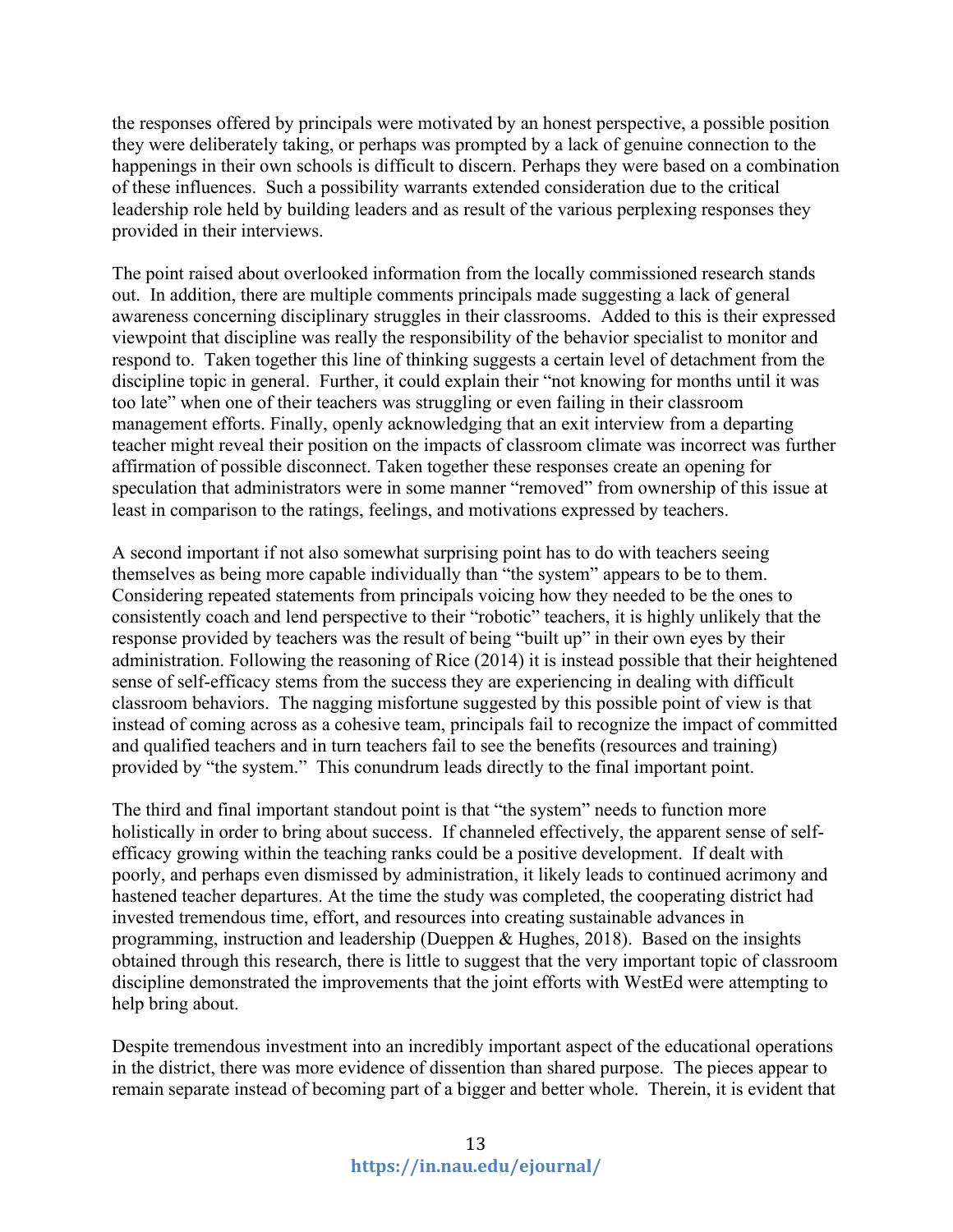the responses offered by principals were motivated by an honest perspective, a possible position they were deliberately taking, or perhaps was prompted by a lack of genuine connection to the happenings in their own schools is difficult to discern. Perhaps they were based on a combination of these influences. Such a possibility warrants extended consideration due to the critical leadership role held by building leaders and as result of the various perplexing responses they provided in their interviews.

The point raised about overlooked information from the locally commissioned research stands out. In addition, there are multiple comments principals made suggesting a lack of general awareness concerning disciplinary struggles in their classrooms. Added to this is their expressed viewpoint that discipline was really the responsibility of the behavior specialist to monitor and respond to. Taken together this line of thinking suggests a certain level of detachment from the discipline topic in general. Further, it could explain their "not knowing for months until it was too late" when one of their teachers was struggling or even failing in their classroom management efforts. Finally, openly acknowledging that an exit interview from a departing teacher might reveal their position on the impacts of classroom climate was incorrect was further affirmation of possible disconnect. Taken together these responses create an opening for speculation that administrators were in some manner "removed" from ownership of this issue at least in comparison to the ratings, feelings, and motivations expressed by teachers.

A second important if not also somewhat surprising point has to do with teachers seeing themselves as being more capable individually than "the system" appears to be to them. Considering repeated statements from principals voicing how they needed to be the ones to consistently coach and lend perspective to their "robotic" teachers, it is highly unlikely that the response provided by teachers was the result of being "built up" in their own eyes by their administration. Following the reasoning of Rice (2014) it is instead possible that their heightened sense of self-efficacy stems from the success they are experiencing in dealing with difficult classroom behaviors. The nagging misfortune suggested by this possible point of view is that instead of coming across as a cohesive team, principals fail to recognize the impact of committed and qualified teachers and in turn teachers fail to see the benefits (resources and training) provided by "the system." This conundrum leads directly to the final important point.

The third and final important standout point is that "the system" needs to function more holistically in order to bring about success. If channeled effectively, the apparent sense of selfefficacy growing within the teaching ranks could be a positive development. If dealt with poorly, and perhaps even dismissed by administration, it likely leads to continued acrimony and hastened teacher departures. At the time the study was completed, the cooperating district had invested tremendous time, effort, and resources into creating sustainable advances in programming, instruction and leadership (Dueppen & Hughes, 2018). Based on the insights obtained through this research, there is little to suggest that the very important topic of classroom discipline demonstrated the improvements that the joint efforts with WestEd were attempting to help bring about.

Despite tremendous investment into an incredibly important aspect of the educational operations in the district, there was more evidence of dissention than shared purpose. The pieces appear to remain separate instead of becoming part of a bigger and better whole. Therein, it is evident that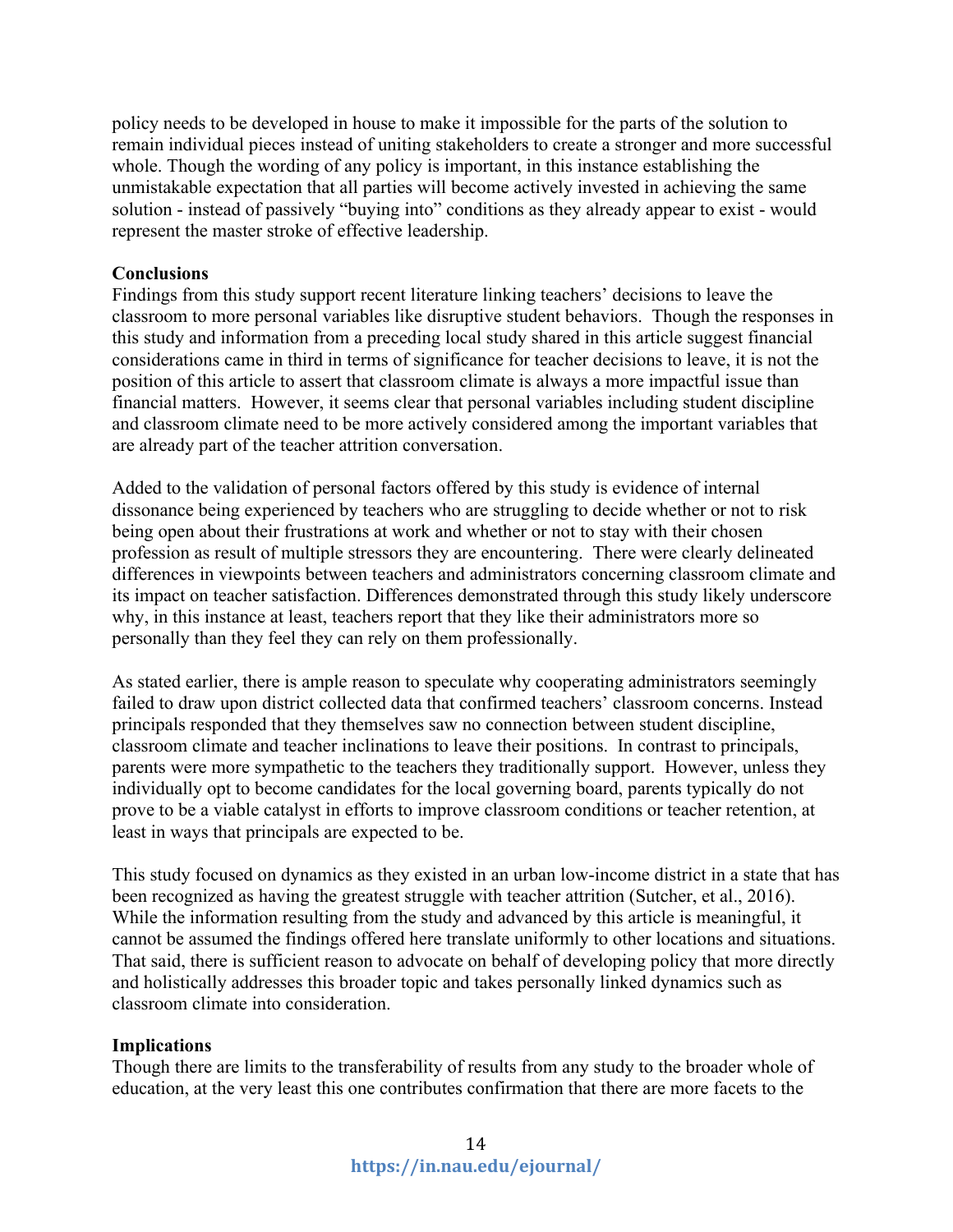policy needs to be developed in house to make it impossible for the parts of the solution to remain individual pieces instead of uniting stakeholders to create a stronger and more successful whole. Though the wording of any policy is important, in this instance establishing the unmistakable expectation that all parties will become actively invested in achieving the same solution - instead of passively "buying into" conditions as they already appear to exist - would represent the master stroke of effective leadership.

## **Conclusions**

Findings from this study support recent literature linking teachers' decisions to leave the classroom to more personal variables like disruptive student behaviors. Though the responses in this study and information from a preceding local study shared in this article suggest financial considerations came in third in terms of significance for teacher decisions to leave, it is not the position of this article to assert that classroom climate is always a more impactful issue than financial matters. However, it seems clear that personal variables including student discipline and classroom climate need to be more actively considered among the important variables that are already part of the teacher attrition conversation.

Added to the validation of personal factors offered by this study is evidence of internal dissonance being experienced by teachers who are struggling to decide whether or not to risk being open about their frustrations at work and whether or not to stay with their chosen profession as result of multiple stressors they are encountering. There were clearly delineated differences in viewpoints between teachers and administrators concerning classroom climate and its impact on teacher satisfaction. Differences demonstrated through this study likely underscore why, in this instance at least, teachers report that they like their administrators more so personally than they feel they can rely on them professionally.

As stated earlier, there is ample reason to speculate why cooperating administrators seemingly failed to draw upon district collected data that confirmed teachers' classroom concerns. Instead principals responded that they themselves saw no connection between student discipline, classroom climate and teacher inclinations to leave their positions. In contrast to principals, parents were more sympathetic to the teachers they traditionally support. However, unless they individually opt to become candidates for the local governing board, parents typically do not prove to be a viable catalyst in efforts to improve classroom conditions or teacher retention, at least in ways that principals are expected to be.

This study focused on dynamics as they existed in an urban low-income district in a state that has been recognized as having the greatest struggle with teacher attrition (Sutcher, et al., 2016). While the information resulting from the study and advanced by this article is meaningful, it cannot be assumed the findings offered here translate uniformly to other locations and situations. That said, there is sufficient reason to advocate on behalf of developing policy that more directly and holistically addresses this broader topic and takes personally linked dynamics such as classroom climate into consideration.

### **Implications**

Though there are limits to the transferability of results from any study to the broader whole of education, at the very least this one contributes confirmation that there are more facets to the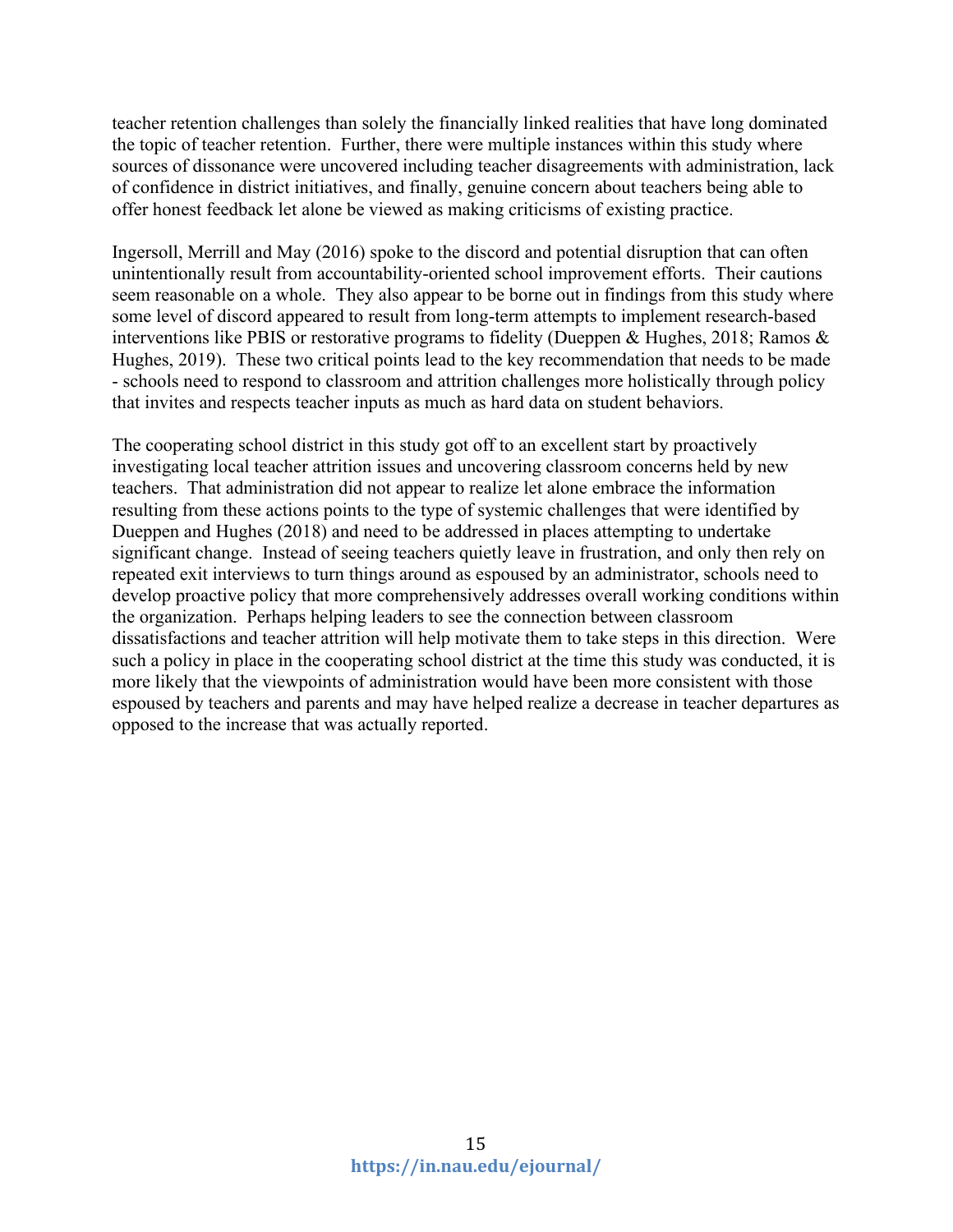teacher retention challenges than solely the financially linked realities that have long dominated the topic of teacher retention. Further, there were multiple instances within this study where sources of dissonance were uncovered including teacher disagreements with administration, lack of confidence in district initiatives, and finally, genuine concern about teachers being able to offer honest feedback let alone be viewed as making criticisms of existing practice.

Ingersoll, Merrill and May (2016) spoke to the discord and potential disruption that can often unintentionally result from accountability-oriented school improvement efforts. Their cautions seem reasonable on a whole. They also appear to be borne out in findings from this study where some level of discord appeared to result from long-term attempts to implement research-based interventions like PBIS or restorative programs to fidelity (Dueppen & Hughes, 2018; Ramos & Hughes, 2019). These two critical points lead to the key recommendation that needs to be made - schools need to respond to classroom and attrition challenges more holistically through policy that invites and respects teacher inputs as much as hard data on student behaviors.

The cooperating school district in this study got off to an excellent start by proactively investigating local teacher attrition issues and uncovering classroom concerns held by new teachers. That administration did not appear to realize let alone embrace the information resulting from these actions points to the type of systemic challenges that were identified by Dueppen and Hughes (2018) and need to be addressed in places attempting to undertake significant change. Instead of seeing teachers quietly leave in frustration, and only then rely on repeated exit interviews to turn things around as espoused by an administrator, schools need to develop proactive policy that more comprehensively addresses overall working conditions within the organization. Perhaps helping leaders to see the connection between classroom dissatisfactions and teacher attrition will help motivate them to take steps in this direction. Were such a policy in place in the cooperating school district at the time this study was conducted, it is more likely that the viewpoints of administration would have been more consistent with those espoused by teachers and parents and may have helped realize a decrease in teacher departures as opposed to the increase that was actually reported.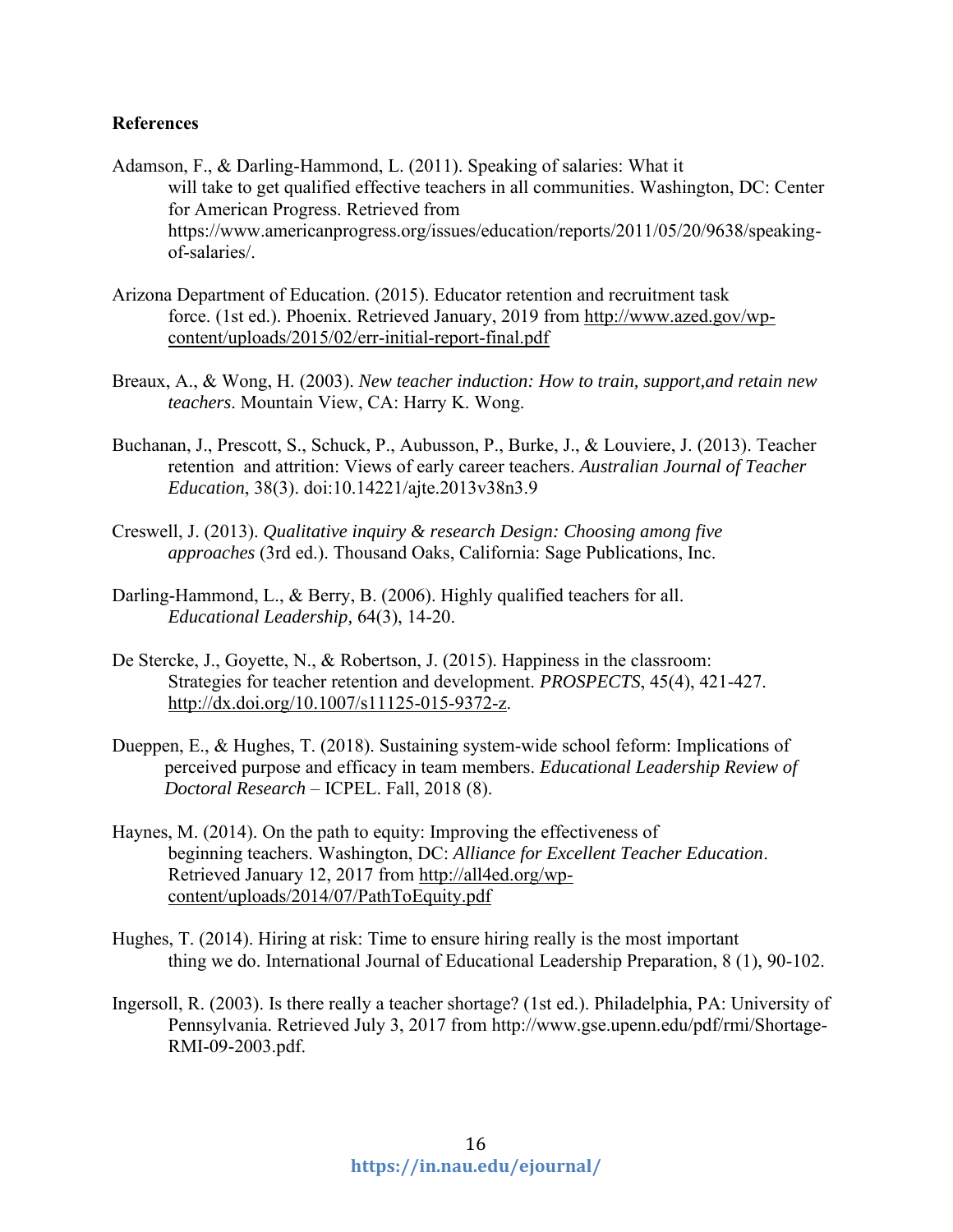## **References**

- Adamson, F., & Darling-Hammond, L. (2011). Speaking of salaries: What it will take to get qualified effective teachers in all communities. Washington, DC: Center for American Progress. Retrieved from https://www.americanprogress.org/issues/education/reports/2011/05/20/9638/speakingof-salaries/.
- Arizona Department of Education. (2015). Educator retention and recruitment task force. (1st ed.). Phoenix. Retrieved January, 2019 from [http://www.azed.gov/wp](http://www.azed.gov/wp-content/uploads/2015/02/err-initial-report-final.pdf)[content/uploads/2015/02/err-initial-report-final.pdf](http://www.azed.gov/wp-content/uploads/2015/02/err-initial-report-final.pdf)
- Breaux, A., & Wong, H. (2003). *New teacher induction: How to train, support,and retain new teachers*. Mountain View, CA: Harry K. Wong.
- Buchanan, J., Prescott, S., Schuck, P., Aubusson, P., Burke, J., & Louviere, J. (2013). Teacher retention and attrition: Views of early career teachers. *Australian Journal of Teacher Education*, 38(3). doi:10.14221/ajte.2013v38n3.9
- Creswell, J. (2013). *Qualitative inquiry & research Design: Choosing among five approaches* (3rd ed.). Thousand Oaks, California: Sage Publications, Inc.
- Darling-Hammond, L., & Berry, B. (2006). Highly qualified teachers for all. *Educational Leadership,* 64(3), 14-20.
- De Stercke, J., Goyette, N., & Robertson, J. (2015). Happiness in the classroom: Strategies for teacher retention and development. *PROSPECTS*, 45(4), 421-427. [http://dx.doi.org/10.1007/s11125-015-9372-z.](http://dx.doi.org/10.1007/s11125-015-9372-z)
- Dueppen, E., & Hughes, T. (2018). Sustaining system-wide school feform: Implications of perceived purpose and efficacy in team members. *Educational Leadership Review of Doctoral Research* – ICPEL. Fall, 2018 (8).
- Haynes, M. (2014). On the path to equity: Improving the effectiveness of beginning teachers. Washington, DC: *Alliance for Excellent Teacher Education*. Retrieved January 12, 2017 from [http://all4ed.org/wp](http://all4ed.org/wp-content/uploads/2014/07/PathToEquity.pdf)[content/uploads/2014/07/PathToEquity.pdf](http://all4ed.org/wp-content/uploads/2014/07/PathToEquity.pdf)
- Hughes, T. (2014). Hiring at risk: Time to ensure hiring really is the most important thing we do. International Journal of Educational Leadership Preparation, 8 (1), 90-102.
- Ingersoll, R. (2003). Is there really a teacher shortage? (1st ed.). Philadelphia, PA: University of Pennsylvania. Retrieved July 3, 2017 from http://www.gse.upenn.edu/pdf/rmi/Shortage-RMI-09-2003.pdf.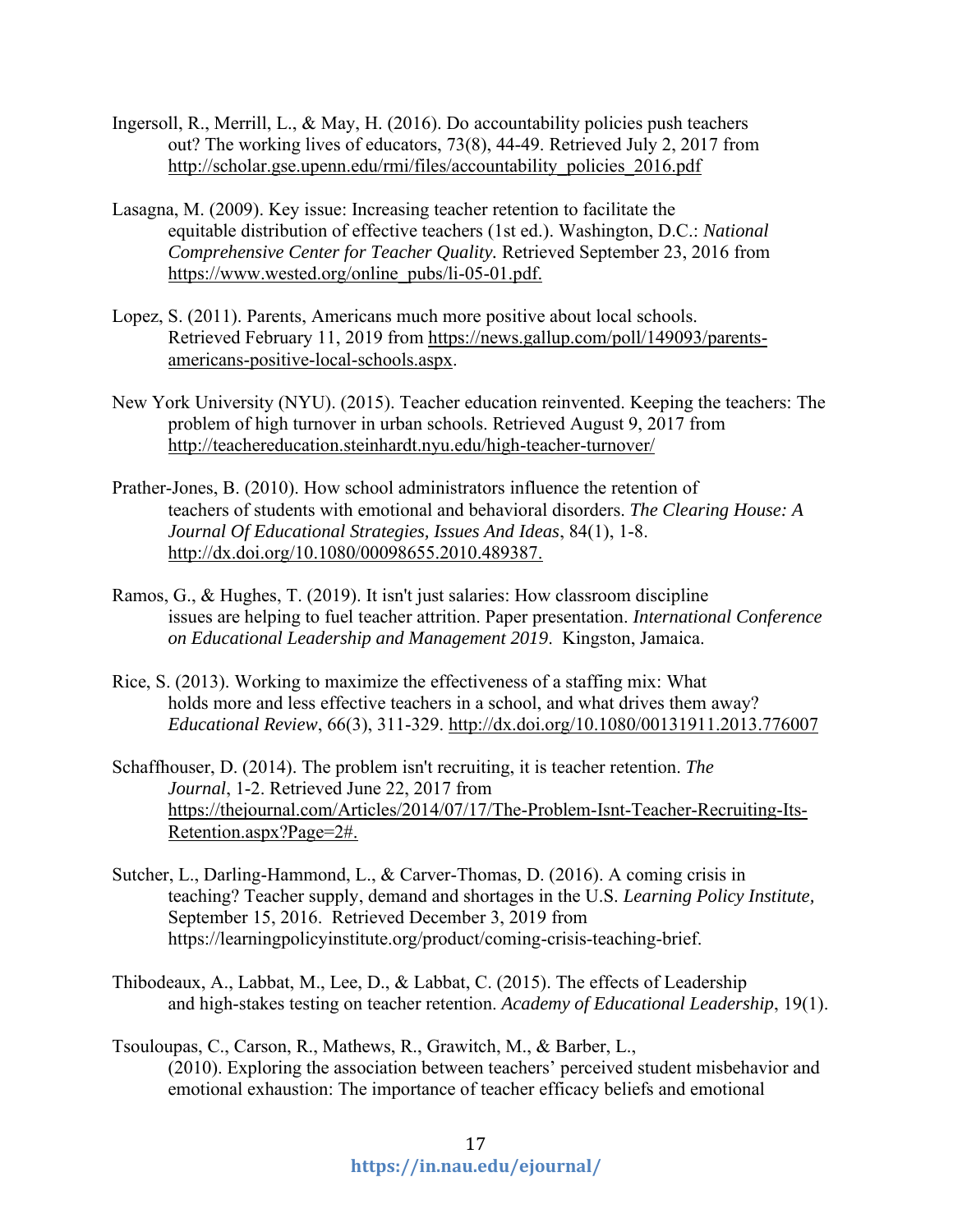- Ingersoll, R., Merrill, L., & May, H. (2016). Do accountability policies push teachers out? The working lives of educators, 73(8), 44-49. Retrieved July 2, 2017 from [http://scholar.gse.upenn.edu/rmi/files/accountability\\_policies\\_2016.pdf](http://scholar.gse.upenn.edu/rmi/files/accountability_policies_2016.pdf)
- Lasagna, M. (2009). Key issue: Increasing teacher retention to facilitate the equitable distribution of effective teachers (1st ed.). Washington, D.C.: *National Comprehensive Center for Teacher Quality.* Retrieved September 23, 2016 from [https://www.wested.org/online\\_pubs/li-05-01.pdf.](https://www.wested.org/online_pubs/li-05-01.pdf)
- Lopez, S. (2011). Parents, Americans much more positive about local schools. Retrieved February 11, 2019 from [https://news.gallup.com/poll/149093/parents](https://news.gallup.com/poll/149093/parents-americans-positive-local-schools.aspx)[americans-positive-local-schools.aspx.](https://news.gallup.com/poll/149093/parents-americans-positive-local-schools.aspx)
- New York University (NYU). (2015). Teacher education reinvented. Keeping the teachers: The problem of high turnover in urban schools. Retrieved August 9, 2017 from <http://teachereducation.steinhardt.nyu.edu/high-teacher-turnover/>
- Prather-Jones, B. (2010). How school administrators influence the retention of teachers of students with emotional and behavioral disorders. *The Clearing House: A Journal Of Educational Strategies, Issues And Ideas*, 84(1), 1-8. [http://dx.doi.org/10.1080/00098655.2010.489387.](http://dx.doi.org/10.1080/00098655.2010.489387)
- Ramos, G., & Hughes, T. (2019). It isn't just salaries: How classroom discipline issues are helping to fuel teacher attrition. Paper presentation. *International Conference on Educational Leadership and Management 2019*. Kingston, Jamaica.
- Rice, S. (2013). Working to maximize the effectiveness of a staffing mix: What holds more and less effective teachers in a school, and what drives them away? *Educational Review*, 66(3), 311-329.<http://dx.doi.org/10.1080/00131911.2013.776007>
- Schaffhouser, D. (2014). The problem isn't recruiting, it is teacher retention. *The Journal*, 1-2. Retrieved June 22, 2017 from [https://thejournal.com/Articles/2014/07/17/The-Problem-Isnt-Teacher-Recruiting-Its-](https://thejournal.com/Articles/2014/07/17/The-Problem-Isnt-Teacher-Recruiting-Its-Retention.aspx?Page=2)[Retention.aspx?Page=2#.](https://thejournal.com/Articles/2014/07/17/The-Problem-Isnt-Teacher-Recruiting-Its-Retention.aspx?Page=2)
- Sutcher, L., Darling-Hammond, L., & Carver-Thomas, D. (2016). A coming crisis in teaching? Teacher supply, demand and shortages in the U.S. *Learning Policy Institute,*  September 15, 2016. Retrieved December 3, 2019 from https://learningpolicyinstitute.org/product/coming-crisis-teaching-brief.
- Thibodeaux, A., Labbat, M., Lee, D., & Labbat, C. (2015). The effects of Leadership and high-stakes testing on teacher retention. *Academy of Educational Leadership*, 19(1).
- Tsouloupas, C., Carson, R., Mathews, R., Grawitch, M., & Barber, L., (2010). Exploring the association between teachers' perceived student misbehavior and emotional exhaustion: The importance of teacher efficacy beliefs and emotional